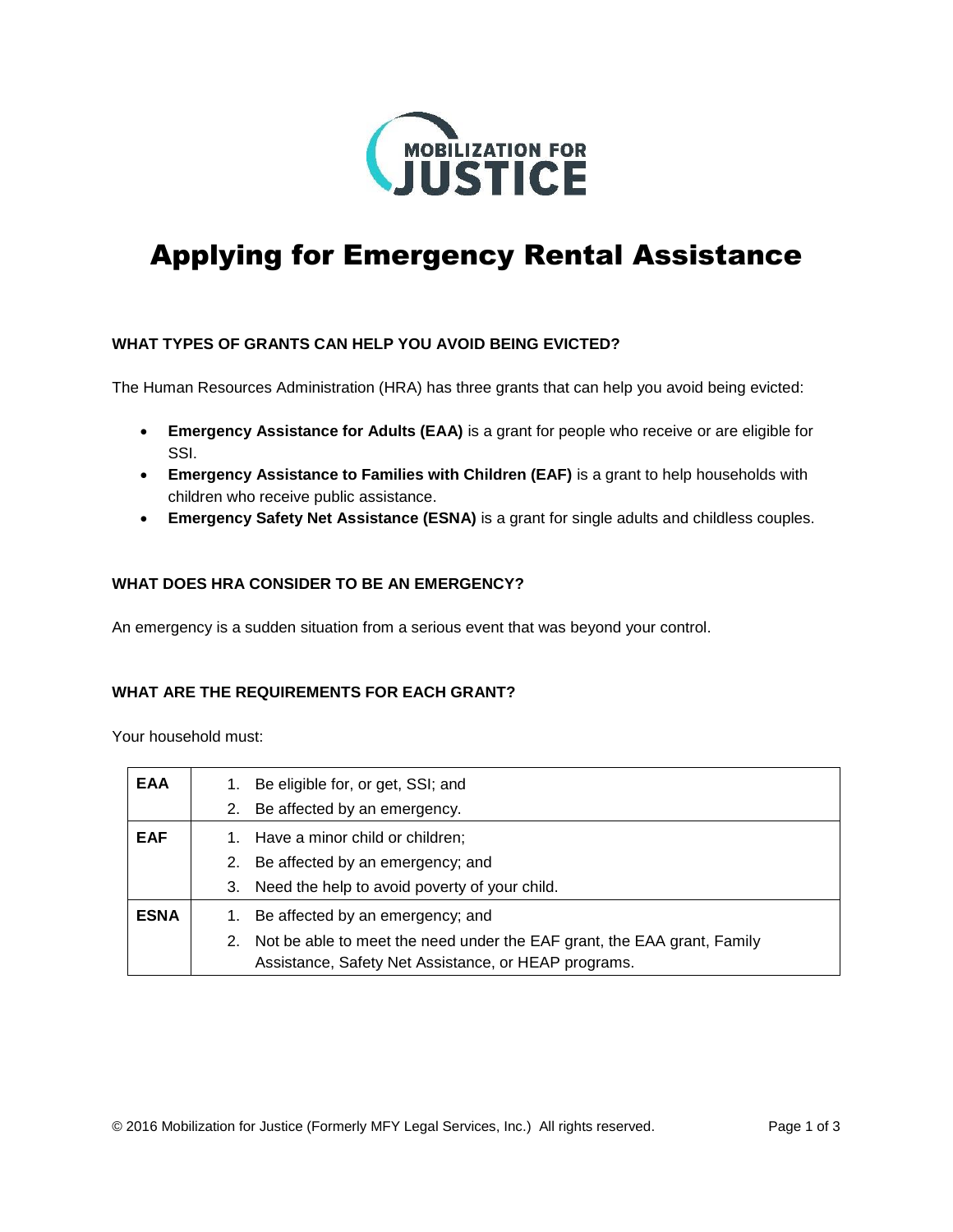

# Applying for Emergency Rental Assistance

## **WHAT TYPES OF GRANTS CAN HELP YOU AVOID BEING EVICTED?**

The Human Resources Administration (HRA) has three grants that can help you avoid being evicted:

- **Emergency Assistance for Adults (EAA)** is a grant for people who receive or are eligible for SSI.
- **Emergency Assistance to Families with Children (EAF)** is a grant to help households with children who receive public assistance.
- **Emergency Safety Net Assistance (ESNA)** is a grant for single adults and childless couples.

## **WHAT DOES HRA CONSIDER TO BE AN EMERGENCY?**

An emergency is a sudden situation from a serious event that was beyond your control.

## **WHAT ARE THE REQUIREMENTS FOR EACH GRANT?**

Your household must:

| <b>EAA</b>  | 1. | Be eligible for, or get, SSI; and                                       |
|-------------|----|-------------------------------------------------------------------------|
|             | 2. | Be affected by an emergency.                                            |
| <b>EAF</b>  |    | Have a minor child or children;                                         |
|             | 2. | Be affected by an emergency; and                                        |
|             | 3. | Need the help to avoid poverty of your child.                           |
| <b>ESNA</b> | 1. | Be affected by an emergency; and                                        |
|             | 2. | Not be able to meet the need under the EAF grant, the EAA grant, Family |
|             |    | Assistance, Safety Net Assistance, or HEAP programs.                    |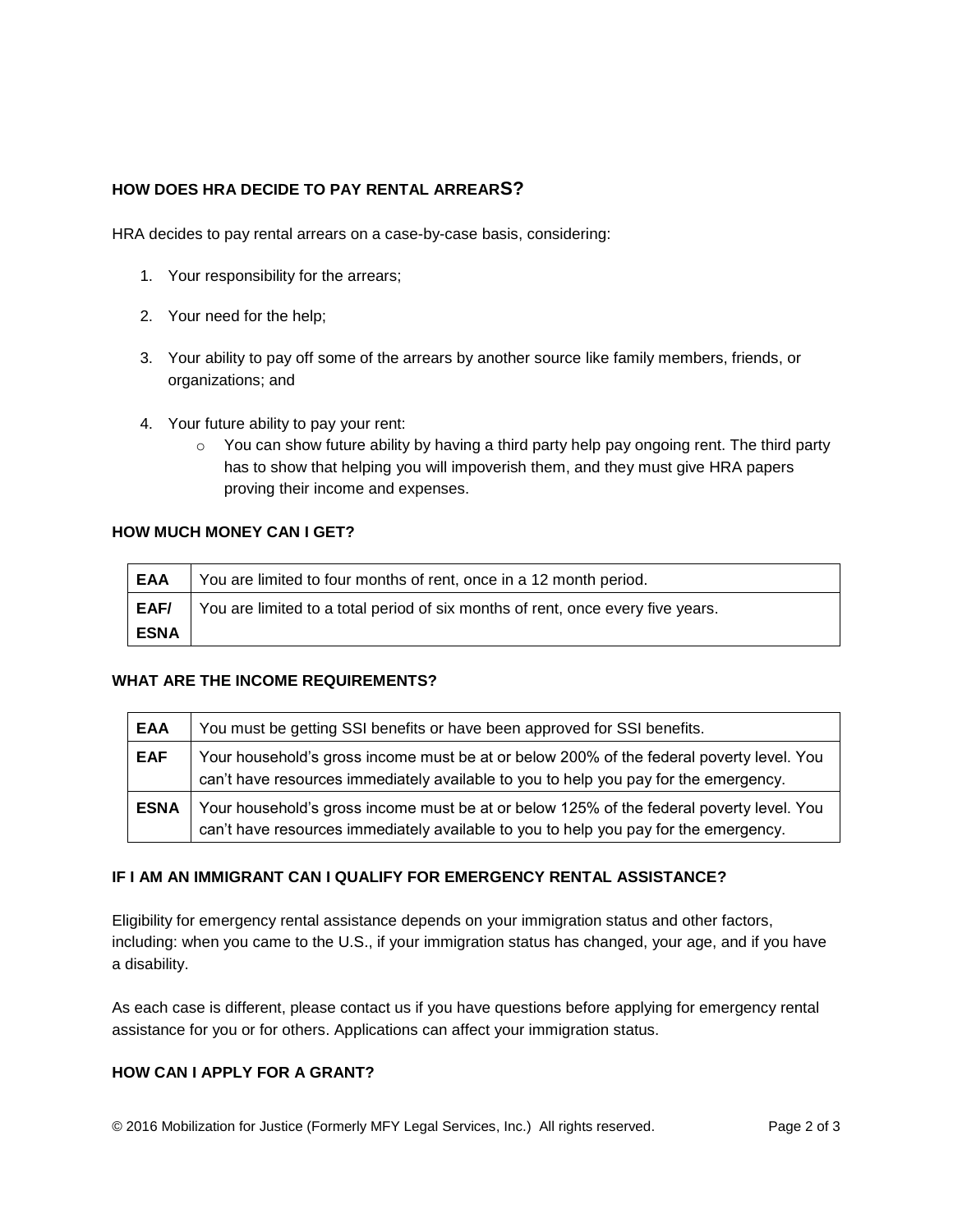## **HOW DOES HRA DECIDE TO PAY RENTAL ARREARS?**

HRA decides to pay rental arrears on a case-by-case basis, considering:

- 1. Your responsibility for the arrears;
- 2. Your need for the help;
- 3. Your ability to pay off some of the arrears by another source like family members, friends, or organizations; and
- 4. Your future ability to pay your rent:
	- $\circ$  You can show future ability by having a third party help pay ongoing rent. The third party has to show that helping you will impoverish them, and they must give HRA papers proving their income and expenses.

## **HOW MUCH MONEY CAN I GET?**

| <b>EAA</b>  | You are limited to four months of rent, once in a 12 month period.              |
|-------------|---------------------------------------------------------------------------------|
| EAF/        | You are limited to a total period of six months of rent, once every five years. |
| <b>ESNA</b> |                                                                                 |

## **WHAT ARE THE INCOME REQUIREMENTS?**

| <b>EAA</b>  | You must be getting SSI benefits or have been approved for SSI benefits.                                                                                                         |
|-------------|----------------------------------------------------------------------------------------------------------------------------------------------------------------------------------|
| <b>EAF</b>  | Your household's gross income must be at or below 200% of the federal poverty level. You<br>can't have resources immediately available to you to help you pay for the emergency. |
| <b>ESNA</b> | Your household's gross income must be at or below 125% of the federal poverty level. You<br>can't have resources immediately available to you to help you pay for the emergency. |

## **IF I AM AN IMMIGRANT CAN I QUALIFY FOR EMERGENCY RENTAL ASSISTANCE?**

Eligibility for emergency rental assistance depends on your immigration status and other factors, including: when you came to the U.S., if your immigration status has changed, your age, and if you have a disability.

As each case is different, please contact us if you have questions before applying for emergency rental assistance for you or for others. Applications can affect your immigration status.

## **HOW CAN I APPLY FOR A GRANT?**